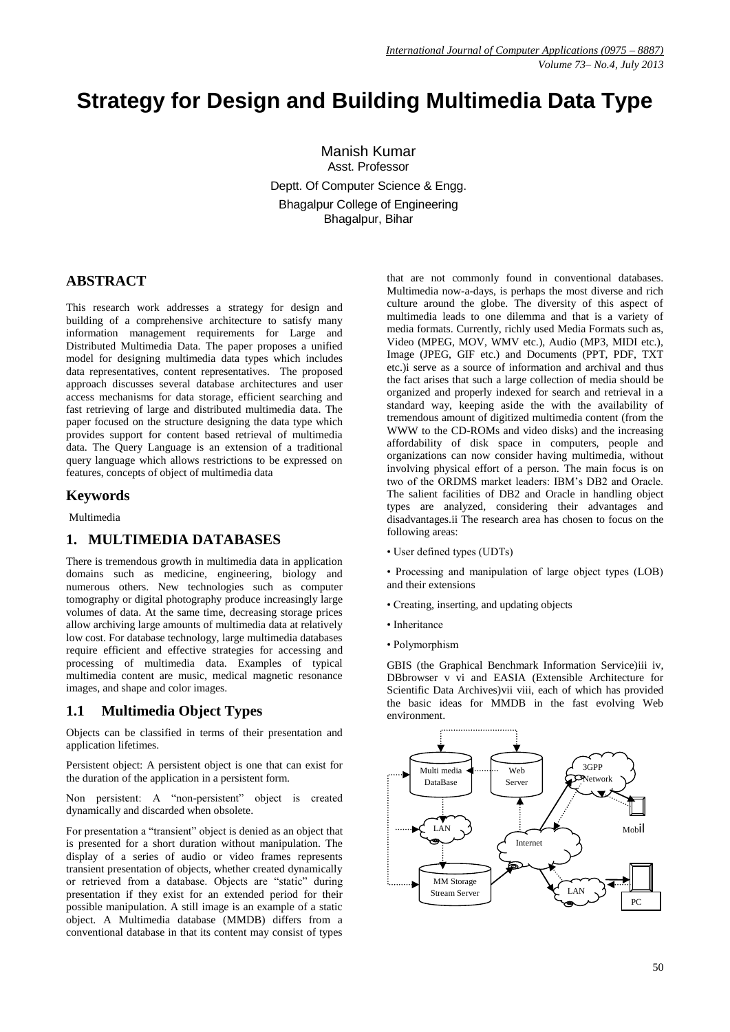# **Strategy for Design and Building Multimedia Data Type**

Manish Kumar Asst. Professor Deptt. Of Computer Science & Engg. Bhagalpur College of Engineering Bhagalpur, Bihar

## **ABSTRACT**

This research work addresses a strategy for design and building of a comprehensive architecture to satisfy many information management requirements for Large and Distributed Multimedia Data. The paper proposes a unified model for designing multimedia data types which includes data representatives, content representatives. The proposed approach discusses several database architectures and user access mechanisms for data storage, efficient searching and fast retrieving of large and distributed multimedia data. The paper focused on the structure designing the data type which provides support for content based retrieval of multimedia data. The Query Language is an extension of a traditional query language which allows restrictions to be expressed on features, concepts of object of multimedia data

#### **Keywords**

Multimedia

## **1. MULTIMEDIA DATABASES**

There is tremendous growth in multimedia data in application domains such as medicine, engineering, biology and numerous others. New technologies such as computer tomography or digital photography produce increasingly large volumes of data. At the same time, decreasing storage prices allow archiving large amounts of multimedia data at relatively low cost. For database technology, large multimedia databases require efficient and effective strategies for accessing and processing of multimedia data. Examples of typical multimedia content are music, medical magnetic resonance images, and shape and color images.

## **1.1 Multimedia Object Types**

Objects can be classified in terms of their presentation and application lifetimes.

Persistent object: A persistent object is one that can exist for the duration of the application in a persistent form.

Non persistent: A "non-persistent" object is created dynamically and discarded when obsolete.

For presentation a "transient" object is denied as an object that is presented for a short duration without manipulation. The display of a series of audio or video frames represents transient presentation of objects, whether created dynamically or retrieved from a database. Objects are "static" during presentation if they exist for an extended period for their possible manipulation. A still image is an example of a static object. A Multimedia database (MMDB) differs from a conventional database in that its content may consist of types

that are not commonly found in conventional databases. Multimedia now-a-days, is perhaps the most diverse and rich culture around the globe. The diversity of this aspect of multimedia leads to one dilemma and that is a variety of media formats. Currently, richly used Media Formats such as, Video (MPEG, MOV, WMV etc.), Audio (MP3, MIDI etc.), Image (JPEG, GIF etc.) and Documents (PPT, PDF, TXT etc.)i serve as a source of information and archival and thus the fact arises that such a large collection of media should be organized and properly indexed for search and retrieval in a standard way, keeping aside the with the availability of tremendous amount of digitized multimedia content (from the WWW to the CD-ROMs and video disks) and the increasing affordability of disk space in computers, people and organizations can now consider having multimedia, without involving physical effort of a person. The main focus is on two of the ORDMS market leaders: IBM"s DB2 and Oracle. The salient facilities of DB2 and Oracle in handling object types are analyzed, considering their advantages and disadvantages.ii The research area has chosen to focus on the following areas:

- User defined types (UDTs)
- Processing and manipulation of large object types (LOB) and their extensions
- Creating, inserting, and updating objects
- Inheritance
- Polymorphism

GBIS (the Graphical Benchmark Information Service)iii iv, DBbrowser v vi and EASIA (Extensible Architecture for Scientific Data Archives)vii viii, each of which has provided the basic ideas for MMDB in the fast evolving Web environment.

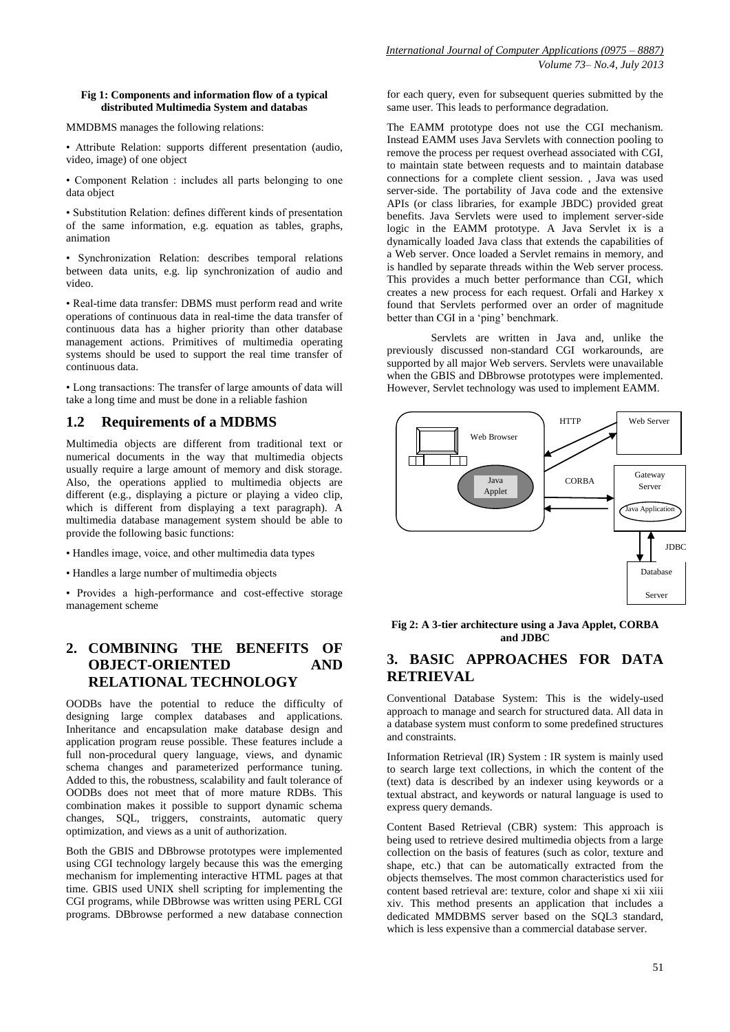#### **Fig 1: Components and information flow of a typical distributed Multimedia System and databas**

MMDBMS manages the following relations:

• Attribute Relation: supports different presentation (audio, video, image) of one object

• Component Relation : includes all parts belonging to one data object

• Substitution Relation: defines different kinds of presentation of the same information, e.g. equation as tables, graphs, animation

• Synchronization Relation: describes temporal relations between data units, e.g. lip synchronization of audio and video.

• Real-time data transfer: DBMS must perform read and write operations of continuous data in real-time the data transfer of continuous data has a higher priority than other database management actions. Primitives of multimedia operating systems should be used to support the real time transfer of continuous data.

• Long transactions: The transfer of large amounts of data will take a long time and must be done in a reliable fashion

# **1.2 Requirements of a MDBMS**

Multimedia objects are different from traditional text or numerical documents in the way that multimedia objects usually require a large amount of memory and disk storage. Also, the operations applied to multimedia objects are different (e.g., displaying a picture or playing a video clip, which is different from displaying a text paragraph). A multimedia database management system should be able to provide the following basic functions:

- Handles image, voice, and other multimedia data types
- Handles a large number of multimedia objects

• Provides a high-performance and cost-effective storage management scheme

## **2. COMBINING THE BENEFITS OF OBJECT-ORIENTED AND RELATIONAL TECHNOLOGY**

OODBs have the potential to reduce the difficulty of designing large complex databases and applications. Inheritance and encapsulation make database design and application program reuse possible. These features include a full non-procedural query language, views, and dynamic schema changes and parameterized performance tuning. Added to this, the robustness, scalability and fault tolerance of OODBs does not meet that of more mature RDBs. This combination makes it possible to support dynamic schema changes, SQL, triggers, constraints, automatic query optimization, and views as a unit of authorization.

Both the GBIS and DBbrowse prototypes were implemented using CGI technology largely because this was the emerging mechanism for implementing interactive HTML pages at that time. GBIS used UNIX shell scripting for implementing the CGI programs, while DBbrowse was written using PERL CGI programs. DBbrowse performed a new database connection for each query, even for subsequent queries submitted by the same user. This leads to performance degradation.

The EAMM prototype does not use the CGI mechanism. Instead EAMM uses Java Servlets with connection pooling to remove the process per request overhead associated with CGI, to maintain state between requests and to maintain database connections for a complete client session. , Java was used server-side. The portability of Java code and the extensive APIs (or class libraries, for example JBDC) provided great benefits. Java Servlets were used to implement server-side logic in the EAMM prototype. A Java Servlet ix is a dynamically loaded Java class that extends the capabilities of a Web server. Once loaded a Servlet remains in memory, and is handled by separate threads within the Web server process. This provides a much better performance than CGI, which creates a new process for each request. Orfali and Harkey x found that Servlets performed over an order of magnitude better than CGI in a 'ping' benchmark.

Servlets are written in Java and, unlike the previously discussed non-standard CGI workarounds, are supported by all major Web servers. Servlets were unavailable when the GBIS and DBbrowse prototypes were implemented. However, Servlet technology was used to implement EAMM.



**Fig 2: A 3-tier architecture using a Java Applet, CORBA and JDBC**

# **3. BASIC APPROACHES FOR DATA RETRIEVAL**

Conventional Database System: This is the widely-used approach to manage and search for structured data. All data in a database system must conform to some predefined structures and constraints.

Information Retrieval (IR) System : IR system is mainly used to search large text collections, in which the content of the (text) data is described by an indexer using keywords or a textual abstract, and keywords or natural language is used to express query demands.

Content Based Retrieval (CBR) system: This approach is being used to retrieve desired multimedia objects from a large collection on the basis of features (such as color, texture and shape, etc.) that can be automatically extracted from the objects themselves. The most common characteristics used for content based retrieval are: texture, color and shape xi xii xiii xiv. This method presents an application that includes a dedicated MMDBMS server based on the SQL3 standard, which is less expensive than a commercial database server.